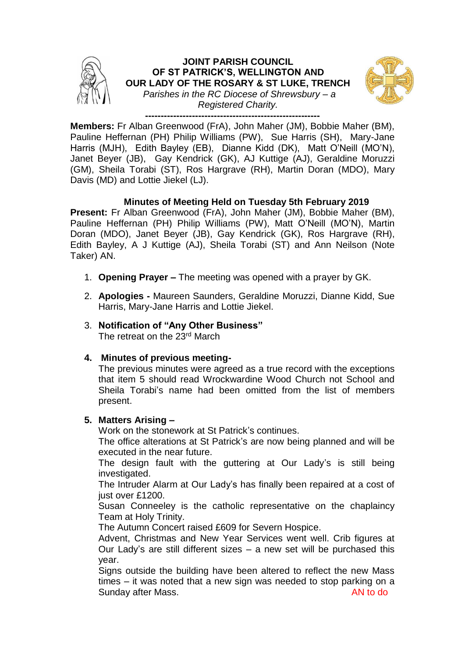

**Members:** Fr Alban Greenwood (FrA), John Maher (JM), Bobbie Maher (BM), Pauline Heffernan (PH) Philip Williams (PW), Sue Harris (SH), Mary-Jane Harris (MJH), Edith Bayley (EB), Dianne Kidd (DK), Matt O'Neill (MO'N), Janet Beyer (JB), Gay Kendrick (GK), AJ Kuttige (AJ), Geraldine Moruzzi (GM), Sheila Torabi (ST), Ros Hargrave (RH), Martin Doran (MDO), Mary Davis (MD) and Lottie Jiekel (LJ).

# **Minutes of Meeting Held on Tuesday 5th February 2019**

**Present:** Fr Alban Greenwood (FrA), John Maher (JM), Bobbie Maher (BM), Pauline Heffernan (PH) Philip Williams (PW), Matt O'Neill (MO'N), Martin Doran (MDO), Janet Beyer (JB), Gay Kendrick (GK), Ros Hargrave (RH), Edith Bayley, A J Kuttige (AJ), Sheila Torabi (ST) and Ann Neilson (Note Taker) AN.

- 1. **Opening Prayer –** The meeting was opened with a prayer by GK.
- 2. **Apologies -** Maureen Saunders, Geraldine Moruzzi, Dianne Kidd, Sue Harris, Mary-Jane Harris and Lottie Jiekel.
- 3. **Notification of "Any Other Business"** The retreat on the 23<sup>rd</sup> March

# **4. Minutes of previous meeting-**

The previous minutes were agreed as a true record with the exceptions that item 5 should read Wrockwardine Wood Church not School and Sheila Torabi's name had been omitted from the list of members present.

# **5. Matters Arising –**

Work on the stonework at St Patrick's continues.

The office alterations at St Patrick's are now being planned and will be executed in the near future.

The design fault with the guttering at Our Lady's is still being investigated.

The Intruder Alarm at Our Lady's has finally been repaired at a cost of just over £1200.

Susan Conneeley is the catholic representative on the chaplaincy Team at Holy Trinity.

The Autumn Concert raised £609 for Severn Hospice.

Advent, Christmas and New Year Services went well. Crib figures at Our Lady's are still different sizes – a new set will be purchased this year.

Signs outside the building have been altered to reflect the new Mass times – it was noted that a new sign was needed to stop parking on a Sunday after Mass. And the Sunday after Mass.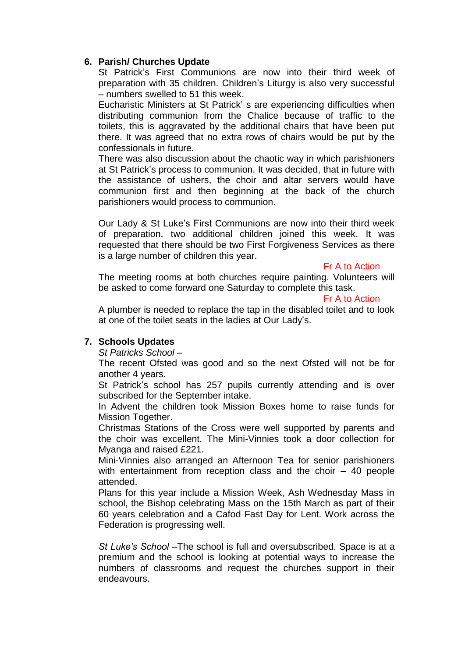# **6. Parish/ Churches Update**

St Patrick's First Communions are now into their third week of preparation with 35 children. Children's Liturgy is also very successful – numbers swelled to 51 this week.

Eucharistic Ministers at St Patrick' s are experiencing difficulties when distributing communion from the Chalice because of traffic to the toilets, this is aggravated by the additional chairs that have been put there. It was agreed that no extra rows of chairs would be put by the confessionals in future.

There was also discussion about the chaotic way in which parishioners at St Patrick's process to communion. It was decided, that in future with the assistance of ushers, the choir and altar servers would have communion first and then beginning at the back of the church parishioners would process to communion.

Our Lady & St Luke's First Communions are now into their third week of preparation, two additional children joined this week. It was requested that there should be two First Forgiveness Services as there is a large number of children this year.

#### Fr A to Action

The meeting rooms at both churches require painting. Volunteers will be asked to come forward one Saturday to complete this task.

#### Fr A to Action

A plumber is needed to replace the tap in the disabled toilet and to look at one of the toilet seats in the ladies at Our Lady's.

# **7. Schools Updates**

*St Patricks School –*

The recent Ofsted was good and so the next Ofsted will not be for another 4 years*.*

St Patrick's school has 257 pupils currently attending and is over subscribed for the September intake.

In Advent the children took Mission Boxes home to raise funds for Mission Together.

Christmas Stations of the Cross were well supported by parents and the choir was excellent. The Mini-Vinnies took a door collection for Myanga and raised £221.

Mini-Vinnies also arranged an Afternoon Tea for senior parishioners with entertainment from reception class and the choir – 40 people attended.

Plans for this year include a Mission Week, Ash Wednesday Mass in school, the Bishop celebrating Mass on the 15th March as part of their 60 years celebration and a Cafod Fast Day for Lent. Work across the Federation is progressing well.

*St Luke's School –*The school is full and oversubscribed. Space is at a premium and the school is looking at potential ways to increase the numbers of classrooms and request the churches support in their endeavours.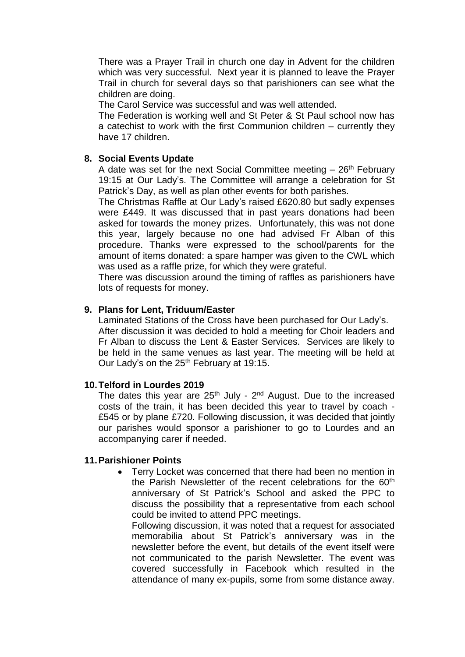There was a Prayer Trail in church one day in Advent for the children which was very successful. Next year it is planned to leave the Prayer Trail in church for several days so that parishioners can see what the children are doing.

The Carol Service was successful and was well attended.

The Federation is working well and St Peter & St Paul school now has a catechist to work with the first Communion children – currently they have 17 children.

### **8. Social Events Update**

A date was set for the next Social Committee meeting  $-26$ <sup>th</sup> February 19:15 at Our Lady's. The Committee will arrange a celebration for St Patrick's Day, as well as plan other events for both parishes.

The Christmas Raffle at Our Lady's raised £620.80 but sadly expenses were £449. It was discussed that in past years donations had been asked for towards the money prizes. Unfortunately, this was not done this year, largely because no one had advised Fr Alban of this procedure. Thanks were expressed to the school/parents for the amount of items donated: a spare hamper was given to the CWL which was used as a raffle prize, for which they were grateful.

There was discussion around the timing of raffles as parishioners have lots of requests for money.

### **9. Plans for Lent, Triduum/Easter**

Laminated Stations of the Cross have been purchased for Our Lady's. After discussion it was decided to hold a meeting for Choir leaders and Fr Alban to discuss the Lent & Easter Services. Services are likely to be held in the same venues as last year. The meeting will be held at Our Lady's on the 25<sup>th</sup> February at 19:15.

# **10.Telford in Lourdes 2019**

The dates this year are  $25<sup>th</sup>$  July -  $2<sup>nd</sup>$  August. Due to the increased costs of the train, it has been decided this year to travel by coach - £545 or by plane £720. Following discussion, it was decided that jointly our parishes would sponsor a parishioner to go to Lourdes and an accompanying carer if needed.

#### **11.Parishioner Points**

• Terry Locket was concerned that there had been no mention in the Parish Newsletter of the recent celebrations for the 60<sup>th</sup> anniversary of St Patrick's School and asked the PPC to discuss the possibility that a representative from each school could be invited to attend PPC meetings.

Following discussion, it was noted that a request for associated memorabilia about St Patrick's anniversary was in the newsletter before the event, but details of the event itself were not communicated to the parish Newsletter. The event was covered successfully in Facebook which resulted in the attendance of many ex-pupils, some from some distance away.